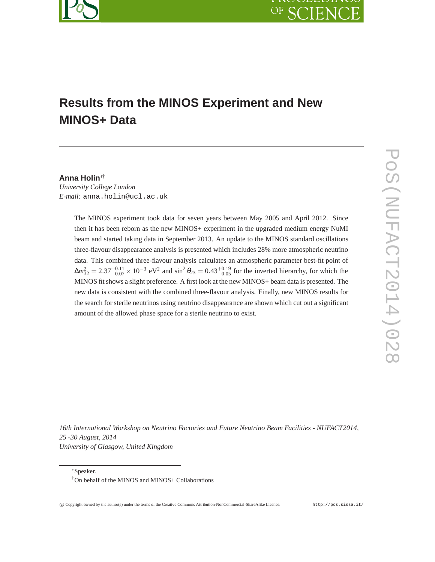# OF SC FN

# **Results from the MINOS Experiment and New MINOS+ Data**

### **Anna Holin**∗†

*University College London E-mail:* anna.holin@ucl.ac.uk

> The MINOS experiment took data for seven years between May 2005 and April 2012. Since then it has been reborn as the new MINOS+ experiment in the upgraded medium energy NuMI beam and started taking data in September 2013. An update to the MINOS standard oscillations three-flavour disappearance analysis is presented which includes 28% more atmospheric neutrino data. This combined three-flavour analysis calculates an atmospheric parameter best-fit point of  $\Delta m_{32}^2 = 2.37_{-0.07}^{+0.11} \times 10^{-3}$  eV<sup>2</sup> and sin<sup>2</sup>  $\theta_{23} = 0.43_{-0.05}^{+0.19}$  for the inverted hierarchy, for which the MINOS fit shows a slight preference. A first look at the new MINOS+ beam data is presented. The new data is consistent with the combined three-flavour analysis. Finally, new MINOS results for the search for sterile neutrinos using neutrino disappearance are shown which cut out a significant amount of the allowed phase space for a sterile neutrino to exist.

*16th International Workshop on Neutrino Factories and Future Neutrino Beam Facilities - NUFACT2014, 25 -30 August, 2014 University of Glasgow, United Kingdom*

<sup>∗</sup>Speaker.

<sup>†</sup>On behalf of the MINOS and MINOS+ Collaborations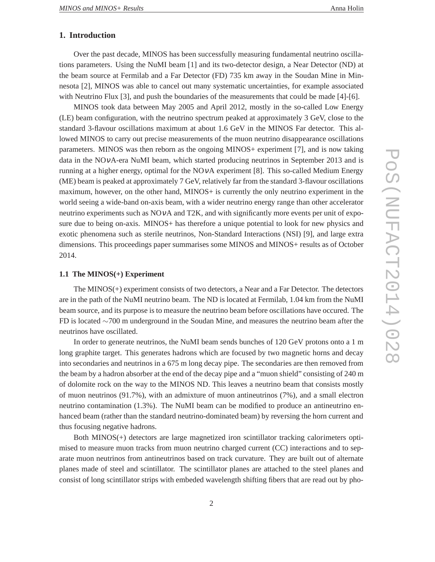### **1. Introduction**

Over the past decade, MINOS has been successfully measuring fundamental neutrino oscillations parameters. Using the NuMI beam [1] and its two-detector design, a Near Detector (ND) at the beam source at Fermilab and a Far Detector (FD) 735 km away in the Soudan Mine in Minnesota [2], MINOS was able to cancel out many systematic uncertainties, for example associated with Neutrino Flux [3], and push the boundaries of the measurements that could be made [4]-[6].

MINOS took data between May 2005 and April 2012, mostly in the so-called Low Energy (LE) beam configuration, with the neutrino spectrum peaked at approximately 3 GeV, close to the standard 3-flavour oscillations maximum at about 1.6 GeV in the MINOS Far detector. This allowed MINOS to carry out precise measurements of the muon neutrino disappearance oscillations parameters. MINOS was then reborn as the ongoing MINOS+ experiment [7], and is now taking data in the NOνA-era NuMI beam, which started producing neutrinos in September 2013 and is running at a higher energy, optimal for the NOνA experiment [8]. This so-called Medium Energy (ME) beam is peaked at approximately 7 GeV, relatively far from the standard 3-flavour oscillations maximum, however, on the other hand, MINOS+ is currently the only neutrino experiment in the world seeing a wide-band on-axis beam, with a wider neutrino energy range than other accelerator neutrino experiments such as  $NOvA$  and  $T2K$ , and with significantly more events per unit of exposure due to being on-axis. MINOS+ has therefore a unique potential to look for new physics and exotic phenomena such as sterile neutrinos, Non-Standard Interactions (NSI) [9], and large extra dimensions. This proceedings paper summarises some MINOS and MINOS+ results as of October 2014.

#### **1.1 The MINOS(+) Experiment**

The MINOS(+) experiment consists of two detectors, a Near and a Far Detector. The detectors are in the path of the NuMI neutrino beam. The ND is located at Fermilab, 1.04 km from the NuMI beam source, and its purpose is to measure the neutrino beam before oscillations have occured. The FD is located ∼700 m underground in the Soudan Mine, and measures the neutrino beam after the neutrinos have oscillated.

In order to generate neutrinos, the NuMI beam sends bunches of 120 GeV protons onto a 1 m long graphite target. This generates hadrons which are focused by two magnetic horns and decay into secondaries and neutrinos in a 675 m long decay pipe. The secondaries are then removed from the beam by a hadron absorber at the end of the decay pipe and a "muon shield" consisting of 240 m of dolomite rock on the way to the MINOS ND. This leaves a neutrino beam that consists mostly of muon neutrinos (91.7%), with an admixture of muon antineutrinos (7%), and a small electron neutrino contamination (1.3%). The NuMI beam can be modified to produce an antineutrino enhanced beam (rather than the standard neutrino-dominated beam) by reversing the horn current and thus focusing negative hadrons.

Both MINOS(+) detectors are large magnetized iron scintillator tracking calorimeters optimised to measure muon tracks from muon neutrino charged current (CC) interactions and to separate muon neutrinos from antineutrinos based on track curvature. They are built out of alternate planes made of steel and scintillator. The scintillator planes are attached to the steel planes and consist of long scintillator strips with embeded wavelength shifting fibers that are read out by pho-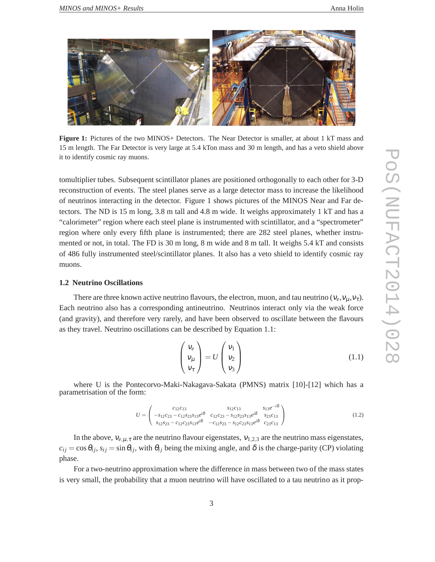

**Figure 1:** Pictures of the two MINOS+ Detectors. The Near Detector is smaller, at about 1 kT mass and 15 m length. The Far Detector is very large at 5.4 kTon mass and 30 m length, and has a veto shield above it to identify cosmic ray muons.

tomultiplier tubes. Subsequent scintillator planes are positioned orthogonally to each other for 3-D reconstruction of events. The steel planes serve as a large detector mass to increase the likelihood of neutrinos interacting in the detector. Figure 1 shows pictures of the MINOS Near and Far detectors. The ND is 15 m long, 3.8 m tall and 4.8 m wide. It weighs approximately 1 kT and has a "calorimeter" region where each steel plane is instrumented with scintillator, and a "spectrometer" region where only every fifth plane is instrumented; there are 282 steel planes, whether instrumented or not, in total. The FD is 30 m long, 8 m wide and 8 m tall. It weighs 5.4 kT and consists of 486 fully instrumented steel/scintillator planes. It also has a veto shield to identify cosmic ray muons.

#### **1.2 Neutrino Oscillations**

There are three known active neutrino flavours, the electron, muon, and tau neutrino ( $v_e, v_\mu, v_\tau$ ). Each neutrino also has a corresponding antineutrino. Neutrinos interact only via the weak force (and gravity), and therefore very rarely, and have been observed to oscillate between the flavours as they travel. Neutrino oscillations can be described by Equation 1.1:

$$
\begin{pmatrix} v_e \\ v_\mu \\ v_\tau \end{pmatrix} = U \begin{pmatrix} v_1 \\ v_2 \\ v_3 \end{pmatrix}
$$
 (1.1)

where U is the Pontecorvo-Maki-Nakagava-Sakata (PMNS) matrix [10]-[12] which has a parametrisation of the form:

$$
U = \begin{pmatrix} c_{12}c_{13} & s_{12}c_{13} & s_{13}e^{-i\delta} \\ -s_{12}c_{23} - c_{12}s_{23}s_{13}e^{i\delta} & c_{12}c_{23} - s_{12}s_{23}s_{13}e^{i\delta} & s_{23}c_{13} \\ s_{12}s_{23} - c_{12}c_{23}s_{13}e^{i\delta} & -c_{12}s_{23} - s_{12}c_{23}s_{13}e^{i\delta} & c_{23}c_{13} \end{pmatrix}
$$
(1.2)

In the above,  $v_{e,\mu,\tau}$  are the neutrino flavour eigenstates,  $v_{1,2,3}$  are the neutrino mass eigenstates,  $c_{ij} = \cos \theta_{ij}$ ,  $s_{ij} = \sin \theta_{ij}$ , with  $\theta_{ij}$  being the mixing angle, and  $\delta$  is the charge-parity (CP) violating phase.

For a two-neutrino approximation where the difference in mass between two of the mass states is very small, the probability that a muon neutrino will have oscillated to a tau neutrino as it prop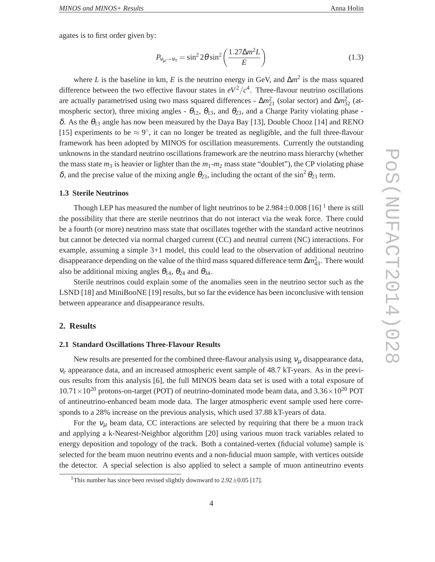agates is to first order given by:

$$
P_{v_{\mu}\to v_{\tau}} = \sin^2 2\theta \sin^2 \left(\frac{1.27\Delta m^2 L}{E}\right)
$$
 (1.3)

where *L* is the baseline in km, *E* is the neutrino energy in GeV, and  $\Delta m^2$  is the mass squared difference between the two effective flavour states in  $eV^2/c^4$ . Three-flavour neutrino oscillations are actually parametrised using two mass squared differences -  $\Delta m_{21}^2$  (solar sector) and  $\Delta m_{32}^2$  (atmospheric sector), three mixing angles -  $\theta_{12}$ ,  $\theta_{13}$ , and  $\theta_{23}$ , and a Charge Parity violating phase δ. As the  $θ$ <sub>13</sub> angle has now been measured by the Daya Bay [13], Double Chooz [14] and RENO [15] experiments to be  $\approx 9^{\circ}$ , it can no longer be treated as negligible, and the full three-flavour framework has been adopted by MINOS for oscillation measurements. Currently the outstanding unknowns in the standard neutrino oscillations framework are the neutrino mass hierarchy (whether the mass state  $m_3$  is heavier or lighter than the  $m_1-m_2$  mass state "doublet"), the CP violating phase δ, and the precise value of the mixing angle  $θ_{23}$ , including the octant of the sin<sup>2</sup>  $θ_{23}$  term.

#### **1.3 Sterile Neutrinos**

Though LEP has measured the number of light neutrinos to be  $2.984 \pm 0.008$  [16] <sup>1</sup> there is still the possibility that there are sterile neutrinos that do not interact via the weak force. There could be a fourth (or more) neutrino mass state that oscillates together with the standard active neutrinos but cannot be detected via normal charged current (CC) and neutral current (NC) interactions. For example, assuming a simple 3+1 model, this could lead to the observation of additional neutrino disappearance depending on the value of the third mass squared difference term ∆*m*<sup>2</sup><sub>43</sub>. There would also be additional mixing angles  $\theta_{14}$ ,  $\theta_{24}$  and  $\theta_{34}$ .

Sterile neutrinos could explain some of the anomalies seen in the neutrino sector such as the LSND [18] and MiniBooNE [19] results, but so far the evidence has been inconclusive with tension between appearance and disappearance results.

#### **2. Results**

#### **2.1 Standard Oscillations Three-Flavour Results**

New results are presented for the combined three-flavour analysis using  $v_{\mu}$  disappearance data, <sup>ν</sup>*<sup>e</sup>* appearance data, and an increased atmospheric event sample of 48.7 kT-years. As in the previous results from this analysis [6], the full MINOS beam data set is used with a total exposure of  $10.71\times10^{20}$  protons-on-target (POT) of neutrino-dominated mode beam data, and 3.36 $\times10^{20}$  POT of antineutrino-enhanced beam mode data. The larger atmospheric event sample used here corresponds to a 28% increase on the previous analysis, which used 37.88 kT-years of data.

For the  $v_{\mu}$  beam data, CC interactions are selected by requiring that there be a muon track and applying a k-Nearest-Neighbor algorithm [20] using various muon track variables related to energy deposition and topology of the track. Both a contained-vertex (fiducial volume) sample is selected for the beam muon neutrino events and a non-fiducial muon sample, with vertices outside the detector. A special selection is also applied to select a sample of muon antineutrino events

<sup>&</sup>lt;sup>1</sup>This number has since been revised slightly downward to  $2.92 \pm 0.05$  [17].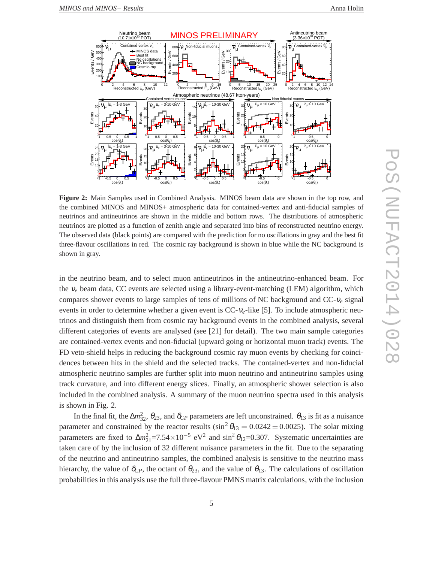

**Figure 2:** Main Samples used in Combined Analysis. MINOS beam data are shown in the top row, and the combined MINOS and MINOS+ atmospheric data for contained-vertex and anti-fiducial samples of neutrinos and antineutrinos are shown in the middle and bottom rows. The distributions of atmospheric neutrinos are plotted as a function of zenith angle and separated into bins of reconstructed neutrino energy. The observed data (black points) are compared with the prediction for no oscillations in gray and the best fit three-flavour oscillations in red. The cosmic ray background is shown in blue while the NC background is shown in gray.

in the neutrino beam, and to select muon antineutrinos in the antineutrino-enhanced beam. For the <sup>ν</sup>*<sup>e</sup>* beam data, CC events are selected using a library-event-matching (LEM) algorithm, which compares shower events to large samples of tens of millions of NC background and CC-<sup>ν</sup>*<sup>e</sup>* signal events in order to determine whether a given event is CC-<sup>ν</sup>*e*-like [5]. To include atmospheric neutrinos and distinguish them from cosmic ray background events in the combined analysis, several different categories of events are analysed (see [21] for detail). The two main sample categories are contained-vertex events and non-fiducial (upward going or horizontal muon track) events. The FD veto-shield helps in reducing the background cosmic ray muon events by checking for coincidences between hits in the shield and the selected tracks. The contained-vertex and non-fiducial atmospheric neutrino samples are further split into muon neutrino and antineutrino samples using track curvature, and into different energy slices. Finally, an atmospheric shower selection is also included in the combined analysis. A summary of the muon neutrino spectra used in this analysis is shown in Fig. 2.

In the final fit, the  $\Delta m_{32}^2$ ,  $\theta_{23}$ , and  $\delta_{CP}$  parameters are left unconstrained.  $\theta_{13}$  is fit as a nuisance parameter and constrained by the reactor results  $(\sin^2 \theta_{13} = 0.0242 \pm 0.0025)$ . The solar mixing parameters are fixed to  $\Delta m_{21}^2$ =7.54×10<sup>-5</sup> eV<sup>2</sup> and sin<sup>2</sup>  $\theta_{12}$ =0.307. Systematic uncertainties are taken care of by the inclusion of 32 different nuisance parameters in the fit. Due to the separating of the neutrino and antineutrino samples, the combined analysis is sensitive to the neutrino mass hierarchy, the value of  $\delta_{CP}$ , the octant of  $\theta_{23}$ , and the value of  $\theta_{13}$ . The calculations of oscillation probabilities in this analysis use the full three-flavour PMNS matrix calculations, with the inclusion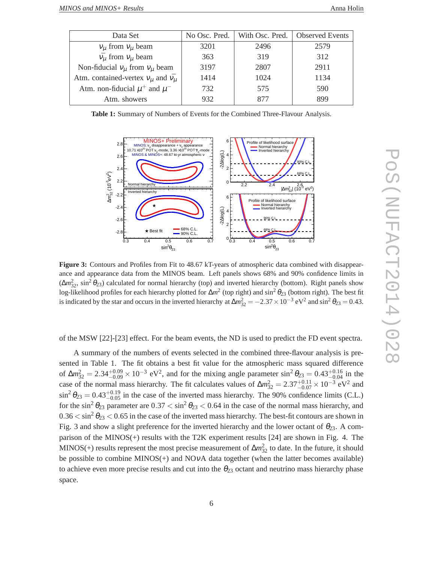| Data Set                                            | No Osc. Pred. | With Osc. Pred. | <b>Observed Events</b> |
|-----------------------------------------------------|---------------|-----------------|------------------------|
| $v_{\mu}$ from $v_{\mu}$ beam                       | 3201          | 2496            | 2579                   |
| $\bar{v_u}$ from $v_u$ beam                         | 363           | 319             | 312                    |
| Non-fiducial $v_{\mu}$ from $v_{\mu}$ beam          | 3197          | 2807            | 2911                   |
| Atm. contained-vertex $v_{\mu}$ and $\bar{v_{\mu}}$ | 1414          | 1024            | 1134                   |
| Atm. non-fiducial $\mu^+$ and $\mu^-$               | 732           | 575             | 590                    |
| Atm. showers                                        | 932           |                 | 899                    |

**Table 1:** Summary of Numbers of Events for the Combined Three-Flavour Analysis.



**Figure 3:** Contours and Profiles from Fit to 48.67 kT-years of atmospheric data combined with disappearance and appearance data from the MINOS beam. Left panels shows 68% and 90% confidence limits in  $(\Delta m_{32}^2, \sin^2 \theta_{23})$  calculated for normal hierarchy (top) and inverted hierarchy (bottom). Right panels show log-likelihood profiles for each hierarchy plotted for Δm<sup>2</sup> (top right) and sin<sup>2</sup> θ<sub>23</sub> (bottom right). The best fit is indicated by the star and occurs in the inverted hierarchy at  $\Delta m_{32}^2 = -2.37 \times 10^{-3} \text{ eV}^2$  and  $\sin^2 \theta_{23} = 0.43$ .

of the MSW [22]-[23] effect. For the beam events, the ND is used to predict the FD event spectra.

A summary of the numbers of events selected in the combined three-flavour analysis is presented in Table 1. The fit obtains a best fit value for the atmospheric mass squared difference of  $\Delta m_{32}^2 = 2.34_{-0.09}^{+0.09} \times 10^{-3}$  eV<sup>2</sup>, and for the mixing angle parameter sin<sup>2</sup>  $\theta_{23} = 0.43_{-0.04}^{+0.16}$  in the case of the normal mass hierarchy. The fit calculates values of  $\Delta m_{32}^2 = 2.37_{-0.07}^{+0.11} \times 10^{-3}$  eV<sup>2</sup> and  $\sin^2 \theta_{23} = 0.43^{+0.19}_{-0.05}$  in the case of the inverted mass hierarchy. The 90% confidence limits (C.L.) for the sin<sup>2</sup>  $\theta_{23}$  parameter are  $0.37 < \sin^2 \theta_{23} < 0.64$  in the case of the normal mass hierarchy, and  $0.36 < \sin^2 \theta_{23} < 0.65$  in the case of the inverted mass hierarchy. The best-fit contours are shown in Fig. 3 and show a slight preference for the inverted hierarchy and the lower octant of  $\theta_{23}$ . A comparison of the MINOS(+) results with the T2K experiment results [24] are shown in Fig. 4. The MINOS(+) results represent the most precise measurement of ∆*m*<sup>2</sup><sub>32</sub> to date. In the future, it should be possible to combine MINOS $(+)$  and NOvA data together (when the latter becomes available) to achieve even more precise results and cut into the  $\theta_{23}$  octant and neutrino mass hierarchy phase space.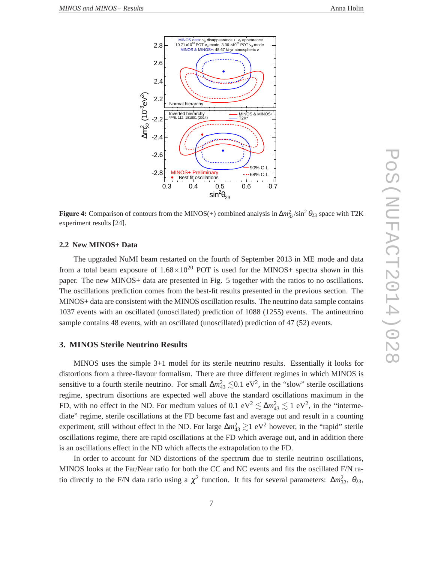

**Figure 4:** Comparison of contours from the MINOS(+) combined analysis in  $\Delta m_{32}^2 / \sin^2 \theta_{23}$  space with T2K experiment results [24].

#### **2.2 New MINOS+ Data**

The upgraded NuMI beam restarted on the fourth of September 2013 in ME mode and data from a total beam exposure of  $1.68 \times 10^{20}$  POT is used for the MINOS+ spectra shown in this paper. The new MINOS+ data are presented in Fig. 5 together with the ratios to no oscillations. The oscillations prediction comes from the best-fit results presented in the previous section. The MINOS+ data are consistent with the MINOS oscillation results. The neutrino data sample contains 1037 events with an oscillated (unoscillated) prediction of 1088 (1255) events. The antineutrino sample contains 48 events, with an oscillated (unoscillated) prediction of 47 (52) events.

#### **3. MINOS Sterile Neutrino Results**

MINOS uses the simple 3+1 model for its sterile neutrino results. Essentially it looks for distortions from a three-flavour formalism. There are three different regimes in which MINOS is sensitive to a fourth sterile neutrino. For small  $\Delta m_{43}^2 \lesssim 0.1 \text{ eV}^2$ , in the "slow" sterile oscillations regime, spectrum disortions are expected well above the standard oscillations maximum in the FD, with no effect in the ND. For medium values of 0.1 eV<sup>2</sup>  $\lesssim \Delta m_{43}^2 \lesssim 1$  eV<sup>2</sup>, in the "intermediate" regime, sterile oscillations at the FD become fast and average out and result in a counting experiment, still without effect in the ND. For large  $\Delta m_{43}^2 \gtrsim 1$  eV<sup>2</sup> however, in the "rapid" sterile oscillations regime, there are rapid oscillations at the FD which average out, and in addition there is an oscillations effect in the ND which affects the extrapolation to the FD.

In order to account for ND distortions of the spectrum due to sterile neutrino oscillations, MINOS looks at the Far/Near ratio for both the CC and NC events and fits the oscillated F/N ratio directly to the F/N data ratio using a  $\chi^2$  function. It fits for several parameters:  $\Delta m_{32}^2$ ,  $\theta_{23}$ ,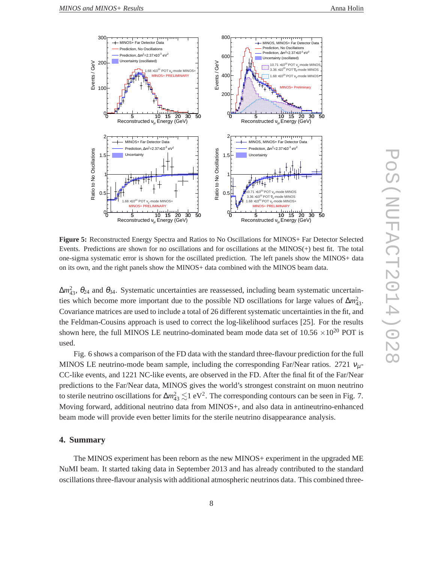

**Figure 5:** Reconstructed Energy Spectra and Ratios to No Oscillations for MINOS+ Far Detector Selected Events. Predictions are shown for no oscillations and for oscillations at the MINOS(+) best fit. The total one-sigma systematic error is shown for the oscillated prediction. The left panels show the MINOS+ data on its own, and the right panels show the MINOS+ data combined with the MINOS beam data.

 $\Delta m_{43}^2$ , θ<sub>24</sub> and θ<sub>34</sub>. Systematic uncertainties are reassessed, including beam systematic uncertainties which become more important due to the possible ND oscillations for large values of  $\Delta m_{43}^2$ . Covariance matrices are used to include a total of 26 different systematic uncertainties in the fit, and the Feldman-Cousins approach is used to correct the log-likelihood surfaces [25]. For the results shown here, the full MINOS LE neutrino-dominated beam mode data set of  $10.56 \times 10^{20}$  POT is used.

Fig. 6 shows a comparison of the FD data with the standard three-flavour prediction for the full MINOS LE neutrino-mode beam sample, including the corresponding Far/Near ratios. 2721  $v_{\mu}$ -CC-like events, and 1221 NC-like events, are observed in the FD. After the final fit of the Far/Near predictions to the Far/Near data, MINOS gives the world's strongest constraint on muon neutrino to sterile neutrino oscillations for  $\Delta m_{43}^2 \lesssim 1 \text{ eV}^2$ . The corresponding contours can be seen in Fig. 7. Moving forward, additional neutrino data from MINOS+, and also data in antineutrino-enhanced beam mode will provide even better limits for the sterile neutrino disappearance analysis.

#### **4. Summary**

The MINOS experiment has been reborn as the new MINOS+ experiment in the upgraded ME NuMI beam. It started taking data in September 2013 and has already contributed to the standard oscillations three-flavour analysis with additional atmospheric neutrinos data. This combined three-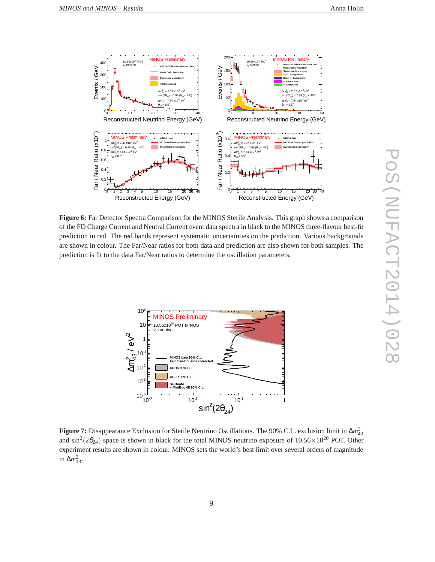

**Figure 6:** Far Detector Spectra Comparison for the MINOS Sterile Analysis. This graph shows a comparison of the FD Charge Current and Neutral Current event data spectra in black to the MINOS three-flavour best-fit prediction in red. The red bands represent systematic uncertainties on the prediction. Various backgrounds are shown in colour. The Far/Near ratios for both data and prediction are also shown for both samples. The prediction is fit to the data Far/Near ratios to determine the oscillation parameters.



**Figure 7:** Disappearance Exclusion for Sterile Neutrino Oscillations. The 90% C.L. exclusion limit in ∆*m* 2 43 and  $\sin^2(2\theta_{24})$  space is shown in black for the total MINOS neutrino exposure of  $10.56 \times 10^{20}$  POT. Other experiment results are shown in colour. MINOS sets the world's best limit over several orders of magnitude in  $\Delta m_{43}^2$ .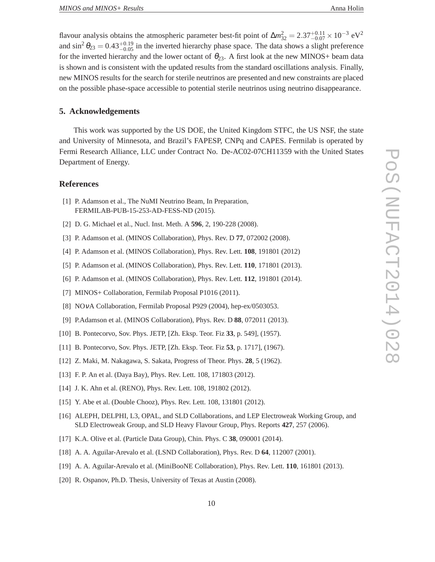flavour analysis obtains the atmospheric parameter best-fit point of  $\Delta m_{32}^2 = 2.37_{-0.07}^{+0.11} \times 10^{-3}$  eV<sup>2</sup> and  $\sin^2 \theta_{23} = 0.43^{+0.19}_{-0.05}$  in the inverted hierarchy phase space. The data shows a slight preference for the inverted hierarchy and the lower octant of  $\theta_{23}$ . A first look at the new MINOS+ beam data is shown and is consistent with the updated results from the standard oscillations analysis. Finally, new MINOS results for the search for sterile neutrinos are presented and new constraints are placed on the possible phase-space accessible to potential sterile neutrinos using neutrino disappearance.

#### **5. Acknowledgements**

This work was supported by the US DOE, the United Kingdom STFC, the US NSF, the state and University of Minnesota, and Brazil's FAPESP, CNPq and CAPES. Fermilab is operated by Fermi Research Alliance, LLC under Contract No. De-AC02-07CH11359 with the United States Department of Energy.

## **References**

- [1] P. Adamson et al., The NuMI Neutrino Beam, In Preparation, FERMILAB-PUB-15-253-AD-FESS-ND (2015).
- [2] D. G. Michael et al., Nucl. Inst. Meth. A **596**, 2, 190-228 (2008).
- [3] P. Adamson et al. (MINOS Collaboration), Phys. Rev. D **77**, 072002 (2008).
- [4] P. Adamson et al. (MINOS Collaboration), Phys. Rev. Lett. **108**, 191801 (2012)
- [5] P. Adamson et al. (MINOS Collaboration), Phys. Rev. Lett. **110**, 171801 (2013).
- [6] P. Adamson et al. (MINOS Collaboration), Phys. Rev. Lett. **112**, 191801 (2014).
- [7] MINOS+ Collaboration, Fermilab Proposal P1016 (2011).
- [8] NOνA Collaboration, Fermilab Proposal P929 (2004), hep-ex/0503053.
- [9] P.Adamson et al. (MINOS Collaboration), Phys. Rev. D **88**, 072011 (2013).
- [10] B. Pontecorvo, Sov. Phys. JETP, [Zh. Eksp. Teor. Fiz **33**, p. 549], (1957).
- [11] B. Pontecorvo, Sov. Phys. JETP, [Zh. Eksp. Teor. Fiz **53**, p. 1717], (1967).
- [12] Z. Maki, M. Nakagawa, S. Sakata, Progress of Theor. Phys. **28**, 5 (1962).
- [13] F. P. An et al. (Daya Bay), Phys. Rev. Lett. 108, 171803 (2012).
- [14] J. K. Ahn et al. (RENO), Phys. Rev. Lett. 108, 191802 (2012).
- [15] Y. Abe et al. (Double Chooz), Phys. Rev. Lett. 108, 131801 (2012).
- [16] ALEPH, DELPHI, L3, OPAL, and SLD Collaborations, and LEP Electroweak Working Group, and SLD Electroweak Group, and SLD Heavy Flavour Group, Phys. Reports **427**, 257 (2006).
- [17] K.A. Olive et al. (Particle Data Group), Chin. Phys. C **38**, 090001 (2014).
- [18] A. A. Aguilar-Arevalo et al. (LSND Collaboration), Phys. Rev. D **64**, 112007 (2001).
- [19] A. A. Aguilar-Arevalo et al. (MiniBooNE Collaboration), Phys. Rev. Lett. **110**, 161801 (2013).
- [20] R. Ospanov, Ph.D. Thesis, University of Texas at Austin (2008).

 $\infty$